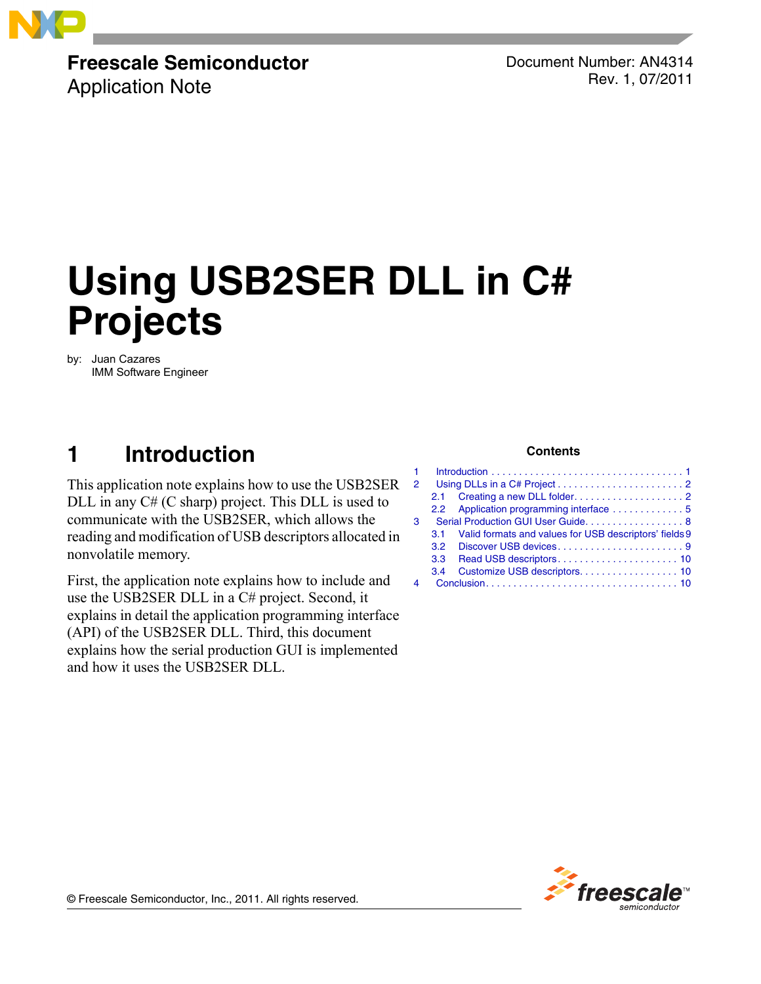

## **Freescale Semiconductor**

Application Note

Document Number: AN4314 Rev. 1, 07/2011

# **Using USB2SER DLL in C# Projects**

by: Juan Cazares IMM Software Engineer

## <span id="page-0-0"></span>**1 Introduction**

This application note explains how to use the USB2SER DLL in any C# (C sharp) project. This DLL is used to communicate with the USB2SER, which allows the reading and modification of USB descriptors allocated in nonvolatile memory.

First, the application note explains how to include and use the USB2SER DLL in a C# project. Second, it explains in detail the application programming interface (API) of the USB2SER DLL. Third, this document explains how the serial production GUI is implemented and how it uses the USB2SER DLL.

#### **Contents**

| $\overline{2}$ |                                    |                                                        |  |
|----------------|------------------------------------|--------------------------------------------------------|--|
|                |                                    |                                                        |  |
|                |                                    | 2.2 Application programming interface  5               |  |
| 3              | Serial Production GUI User Guide 8 |                                                        |  |
|                | 3.1                                | Valid formats and values for USB descriptors' fields 9 |  |
|                |                                    |                                                        |  |
|                | 3.3 <sub>2</sub>                   |                                                        |  |
|                | 3.4                                | Customize USB descriptors. 10                          |  |
|                |                                    |                                                        |  |



© Freescale Semiconductor, Inc., 2011. All rights reserved.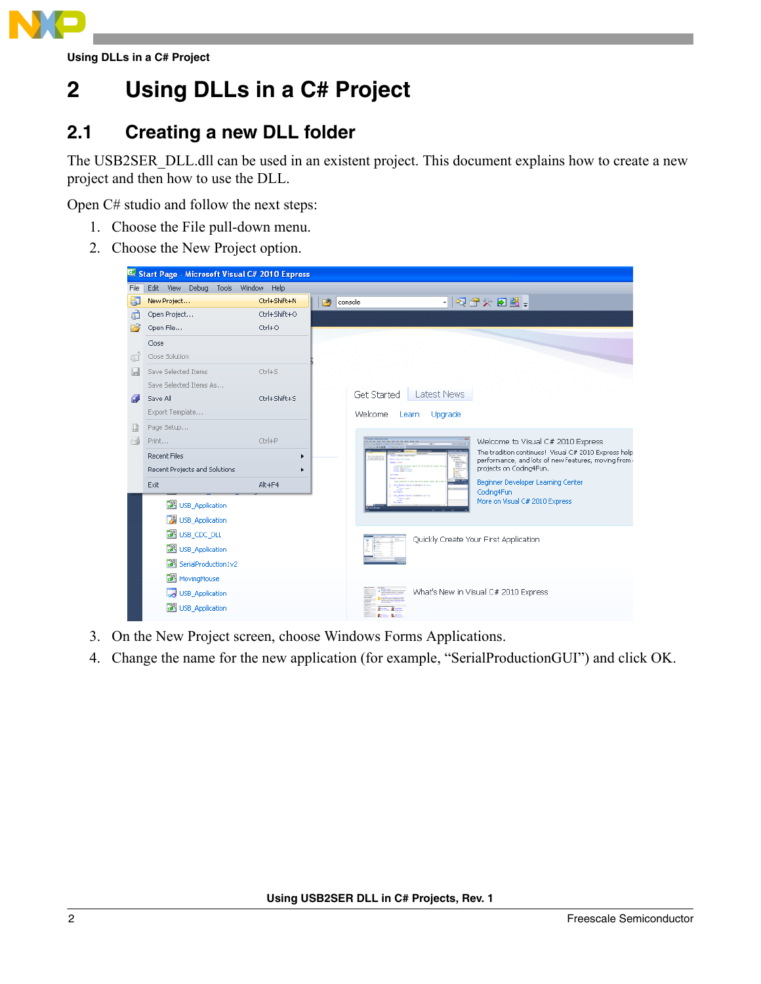

## <span id="page-1-0"></span>**2 Using DLLs in a C# Project**

### <span id="page-1-1"></span>**2.1 Creating a new DLL folder**

The USB2SER\_DLL.dll can be used in an existent project. This document explains how to create a new project and then how to use the DLL.

Open C# studio and follow the next steps:

- 1. Choose the File pull-down menu.
- 2. Choose the New Project option.

|        | Start Page - Microsoft Visual C# 2010 Express |              |                                                                                                            |
|--------|-----------------------------------------------|--------------|------------------------------------------------------------------------------------------------------------|
| File   | Edit View Debug Tools Window Help             |              |                                                                                                            |
| 阎      | New Project                                   | Ctrl+Shift+N | •   5 2 2 2 3 2 4<br>网<br>console                                                                          |
| ã      | Open Project                                  | Ctrl+Shift+O |                                                                                                            |
| ⊳≆     | Open File                                     | Ctrl+O       |                                                                                                            |
|        | Close                                         |              |                                                                                                            |
| 面      | Close Solution                                |              |                                                                                                            |
| ы      | Save Selected Items                           | $Cbr + S$    |                                                                                                            |
|        | Save Selected Items As                        |              |                                                                                                            |
| 阈      | Save All                                      | Ctrl+Shift+S | Latest News<br>Get Started                                                                                 |
|        | Export Template                               |              | Upgrade<br>Welcome<br>Learn                                                                                |
| $\Box$ | Page Setup                                    |              |                                                                                                            |
| đ      | Print                                         | $Ctr$ -P     | Welcome to Visual C# 2010 Express<br><b>CEANIE</b><br>1.77788                                              |
|        | Recent Files                                  |              | The tradition continues! Visual C# 2010 Express help<br>performance, and lots of new features, moving from |
|        | Recent Projects and Solutions                 |              | projects on Coding4Fun.                                                                                    |
|        | Exit                                          | $Alt + F4$   | Beginner Developer Learning Center                                                                         |
|        | c <sup>8</sup> USB Application                |              | Codina4Fun<br>More on Visual C# 2010 Express                                                               |
|        |                                               |              |                                                                                                            |
|        | USB_Application                               |              |                                                                                                            |
|        | <b>BE</b> USB_CDC_DLL                         |              | Quickly Create Your First Application                                                                      |
|        | c <sup>2</sup> USB_Application                |              |                                                                                                            |
|        | <b>Com</b> SerialProduction1v2                |              |                                                                                                            |
|        | complete MovingMouse                          |              |                                                                                                            |
|        | USB_Application                               |              | What's New in Visual C# 2010 Express                                                                       |
|        | $c^2$<br>USB_Application                      |              | n.                                                                                                         |

- 3. On the New Project screen, choose Windows Forms Applications.
- 4. Change the name for the new application (for example, "SerialProductionGUI") and click OK.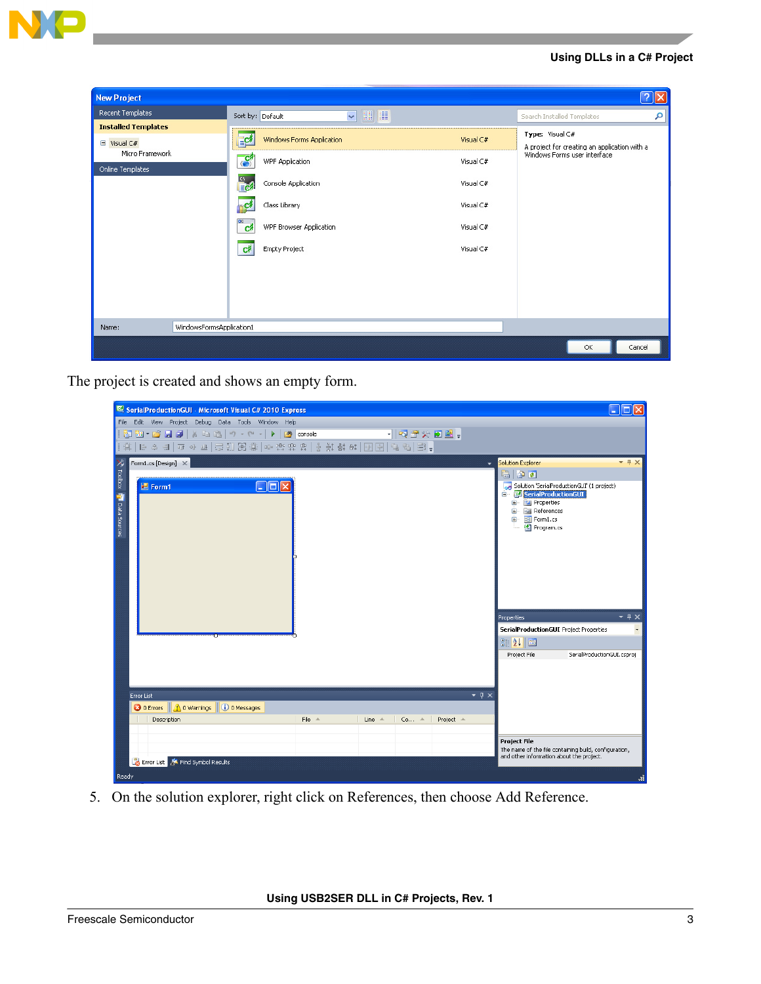

| <b>New Project</b>                |                |                                                   |             |                                              |
|-----------------------------------|----------------|---------------------------------------------------|-------------|----------------------------------------------|
| Recent Templates                  |                | <b>THE RE</b><br>Sort by: Default<br>$\checkmark$ |             | م<br>Search Installed Templates              |
| <b>Installed Templates</b>        |                |                                                   |             | Type: Visual C#                              |
| $\Box$ Visual C#                  | EC!            | Windows Forms Application                         | Visual C#   | A project for creating an application with a |
| Micro Framework                   | $\mathbf{c}^*$ | WPF Application                                   | Visual C#   | Windows Forms user interface                 |
| Online Templates                  | e<br>Ed?       | Console Application                               | Visual C#   |                                              |
|                                   | $-C$           | Class Library                                     | Visual C#   |                                              |
|                                   | c#             | WPF Browser Application                           | Visual $C#$ |                                              |
|                                   | <b>c#</b>      | <b>Empty Project</b>                              | Visual C#   |                                              |
|                                   |                |                                                   |             |                                              |
|                                   |                |                                                   |             |                                              |
|                                   |                |                                                   |             |                                              |
| WindowsFormsApplication1<br>Name: |                |                                                   |             |                                              |
|                                   |                |                                                   |             | OK<br>Cancel                                 |

The project is created and shows an empty form.

| SerialProductionGUI - Microsoft Visual C# 2010 Express                      |          |          |                                                                                                                                                                                                                 |                      | $\overline{\phantom{a}}$ $\overline{\phantom{a}}$ $\overline{\phantom{a}}$ $\overline{\phantom{a}}$                                                                                                                                  |
|-----------------------------------------------------------------------------|----------|----------|-----------------------------------------------------------------------------------------------------------------------------------------------------------------------------------------------------------------|----------------------|--------------------------------------------------------------------------------------------------------------------------------------------------------------------------------------------------------------------------------------|
| File Edit View Project Debug Data Tools Window Help                         |          |          |                                                                                                                                                                                                                 |                      |                                                                                                                                                                                                                                      |
| 司田 • 2 日 2   X 4 出    9 • (* -   )   20 console                             |          |          | $\cdot$ $\overline{\phantom{a}}$ $\overline{\phantom{a}}$ $\overline{\phantom{a}}$ $\overline{\phantom{a}}$ $\overline{\phantom{a}}$ $\overline{\phantom{a}}$ $\overline{\phantom{a}}$ $\overline{\phantom{a}}$ |                      |                                                                                                                                                                                                                                      |
| 主事                                                                          |          |          |                                                                                                                                                                                                                 |                      |                                                                                                                                                                                                                                      |
| X Toolbox<br>Form1.cs [Design] X<br><b>B</b> Form1<br><b>T</b> Data Sources |          |          |                                                                                                                                                                                                                 |                      | $-4x$<br><b>Solution Explorer</b><br>$\mathbf{P}$<br>e i<br>Solution 'SerialProductionGUI' (1 project)<br><b>Example 1</b> SerialProductionGUI<br><b>E E</b> Properties<br><b>References</b><br>ė-<br>- 国 Form1.cs<br>- 图 Program.cs |
|                                                                             |          |          |                                                                                                                                                                                                                 |                      | $\star$ # $\times$<br><b>Properties</b><br>$\overline{\phantom{a}}$<br>SerialProductionGUI Project Properties<br>$2$ $2$ $\sqrt{2}$                                                                                                  |
| <b>Error List</b><br>(i) 0 Messages<br>O D Errors   4 0 Warnings            |          |          |                                                                                                                                                                                                                 | $ \sqrt{ }$ $\times$ | Project File<br>SerialProductionGUI.csproj                                                                                                                                                                                           |
| Description                                                                 | File $-$ | Line $-$ | $Co \triangle$                                                                                                                                                                                                  | Project $\triangleq$ |                                                                                                                                                                                                                                      |
| Error List <b>A</b> Find Symbol Results                                     |          |          |                                                                                                                                                                                                                 |                      | <b>Project File</b><br>The name of the file containing build, configuration,<br>and other information about the project.                                                                                                             |
| Ready                                                                       |          |          |                                                                                                                                                                                                                 |                      | ŵ                                                                                                                                                                                                                                    |

5. On the solution explorer, right click on References, then choose Add Reference.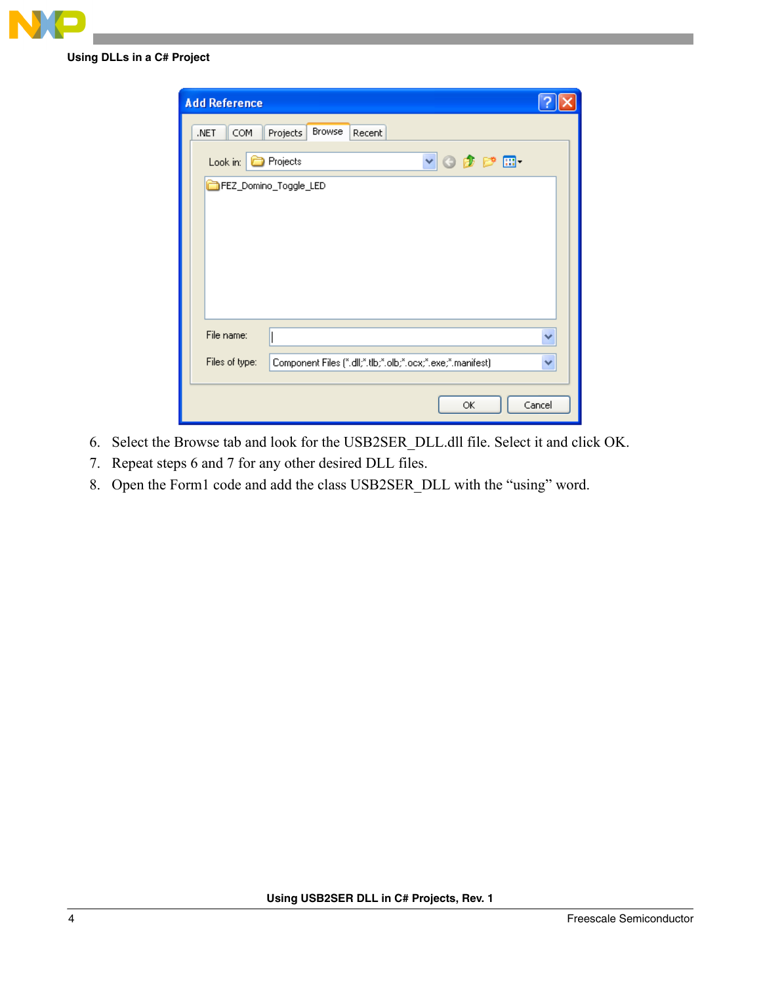

| <b>Add Reference</b>                                                         |        |
|------------------------------------------------------------------------------|--------|
| Browse<br>COM<br>Projects<br>.NET<br>Recent                                  |        |
| Look in:<br>欧国・<br>Projects<br>×.                                            |        |
| FEZ_Domino_Toggle_LED                                                        |        |
|                                                                              |        |
|                                                                              |        |
|                                                                              |        |
|                                                                              |        |
| File name:<br>I                                                              | v      |
| Files of type:<br>Component Files (".dll;".tlb;".olb;".ocx;".exe;".manifest) | ×      |
| ОК                                                                           | Cancel |

- 6. Select the Browse tab and look for the USB2SER\_DLL.dll file. Select it and click OK.
- 7. Repeat steps 6 and 7 for any other desired DLL files.
- 8. Open the Form1 code and add the class USB2SER\_DLL with the "using" word.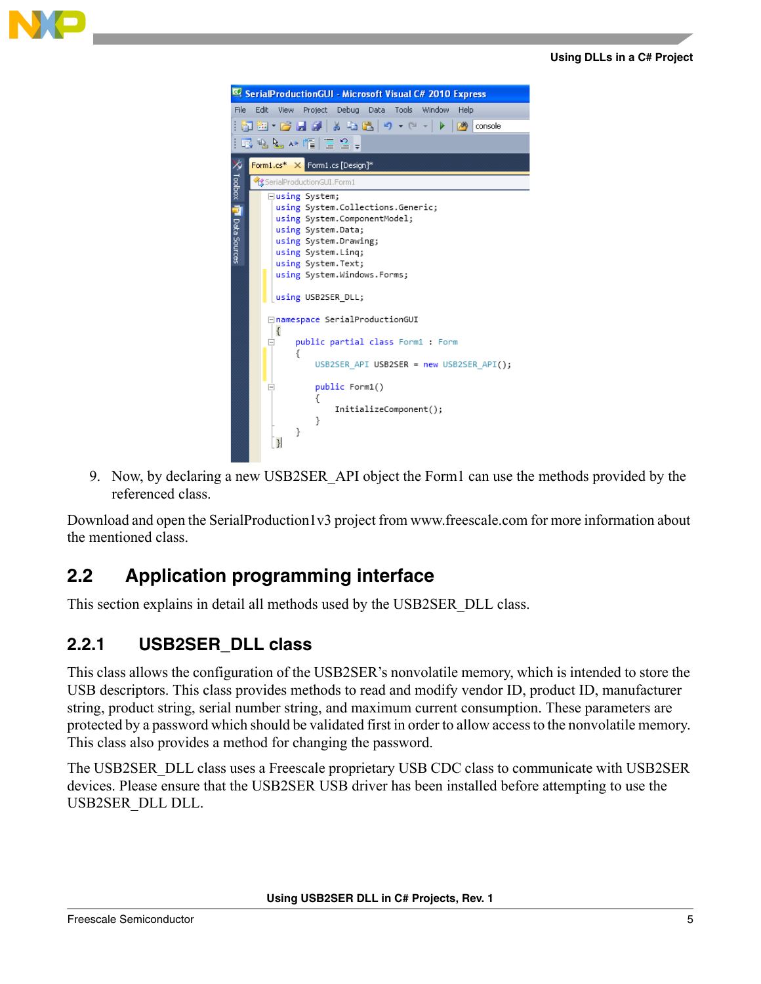



9. Now, by declaring a new USB2SER\_API object the Form1 can use the methods provided by the referenced class.

Download and open the SerialProduction1v3 project from www.freescale.com for more information about the mentioned class.

### <span id="page-4-0"></span>**2.2 Application programming interface**

This section explains in detail all methods used by the USB2SER\_DLL class.

### **2.2.1 USB2SER\_DLL class**

This class allows the configuration of the USB2SER's nonvolatile memory, which is intended to store the USB descriptors. This class provides methods to read and modify vendor ID, product ID, manufacturer string, product string, serial number string, and maximum current consumption. These parameters are protected by a password which should be validated first in order to allow access to the nonvolatile memory. This class also provides a method for changing the password.

The USB2SER\_DLL class uses a Freescale proprietary USB CDC class to communicate with USB2SER devices. Please ensure that the USB2SER USB driver has been installed before attempting to use the USB2SER\_DLL DLL.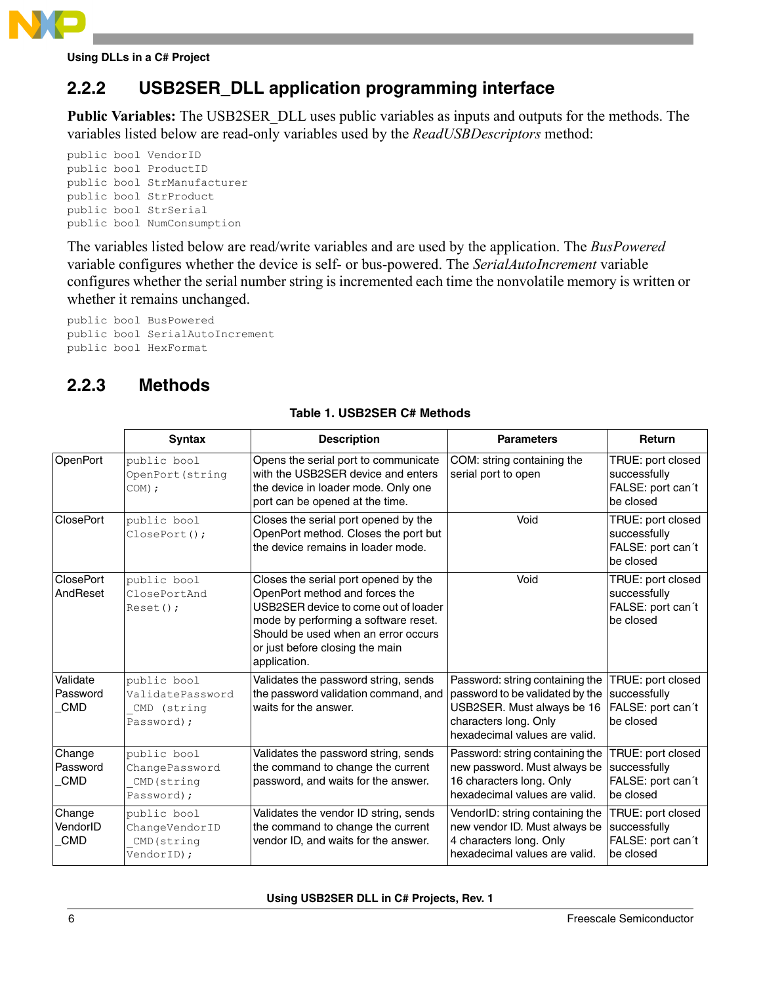

### **2.2.2 USB2SER\_DLL application programming interface**

**Public Variables:** The USB2SER\_DLL uses public variables as inputs and outputs for the methods. The variables listed below are read-only variables used by the *ReadUSBDescriptors* method:

```
public bool VendorID
public bool ProductID
public bool StrManufacturer
public bool StrProduct
public bool StrSerial
public bool NumConsumption
```
The variables listed below are read/write variables and are used by the application. The *BusPowered* variable configures whether the device is self- or bus-powered. The *SerialAutoIncrement* variable configures whether the serial number string is incremented each time the nonvolatile memory is written or whether it remains unchanged.

```
public bool BusPowered
public bool SerialAutoIncrement
public bool HexFormat
```
### **2.2.3 Methods**

|                                    | <b>Syntax</b>                                                | <b>Description</b>                                                                                                                                                                                                                               | <b>Parameters</b>                                                                                                                                          | Return                                                              |
|------------------------------------|--------------------------------------------------------------|--------------------------------------------------------------------------------------------------------------------------------------------------------------------------------------------------------------------------------------------------|------------------------------------------------------------------------------------------------------------------------------------------------------------|---------------------------------------------------------------------|
| OpenPort                           | public bool<br>OpenPort (string<br>COM);                     | Opens the serial port to communicate<br>with the USB2SER device and enters<br>the device in loader mode. Only one<br>port can be opened at the time.                                                                                             | COM: string containing the<br>serial port to open                                                                                                          | TRUE: port closed<br>successfully<br>FALSE: port can't<br>be closed |
| <b>ClosePort</b>                   | public bool<br>$ClosePort()$ ;                               | Closes the serial port opened by the<br>OpenPort method. Closes the port but<br>the device remains in loader mode.                                                                                                                               | Void                                                                                                                                                       | TRUE: port closed<br>successfully<br>FALSE: port can't<br>be closed |
| <b>ClosePort</b><br>AndReset       | public bool<br>ClosePortAnd<br>$Reset()$ ;                   | Closes the serial port opened by the<br>OpenPort method and forces the<br>USB2SER device to come out of loader<br>mode by performing a software reset.<br>Should be used when an error occurs<br>or just before closing the main<br>application. | Void                                                                                                                                                       | TRUE: port closed<br>successfully<br>FALSE: port can't<br>be closed |
| Validate<br>Password<br><b>CMD</b> | public bool<br>ValidatePassword<br>CMD (string<br>Password); | Validates the password string, sends<br>the password validation command, and<br>waits for the answer.                                                                                                                                            | Password: string containing the<br>password to be validated by the<br>USB2SER. Must always be 16<br>characters long. Only<br>hexadecimal values are valid. | TRUE: port closed<br>successfully<br>FALSE: port can't<br>be closed |
| Change<br>Password<br>_CMD         | public bool<br>ChangePassword<br>CMD (string<br>Password);   | Validates the password string, sends<br>the command to change the current<br>password, and waits for the answer.                                                                                                                                 | Password: string containing the<br>new password. Must always be<br>16 characters long. Only<br>hexadecimal values are valid.                               | TRUE: port closed<br>successfully<br>FALSE: port can't<br>be closed |
| Change<br>VendorID<br><b>CMD</b>   | public bool<br>ChangeVendorID<br>CMD (string<br>VendorID);   | Validates the vendor ID string, sends<br>the command to change the current<br>vendor ID, and waits for the answer.                                                                                                                               | VendorID: string containing the<br>new vendor ID. Must always be<br>4 characters long. Only<br>hexadecimal values are valid.                               | TRUE: port closed<br>successfully<br>FALSE: port can't<br>be closed |

### **Table 1. USB2SER C# Methods**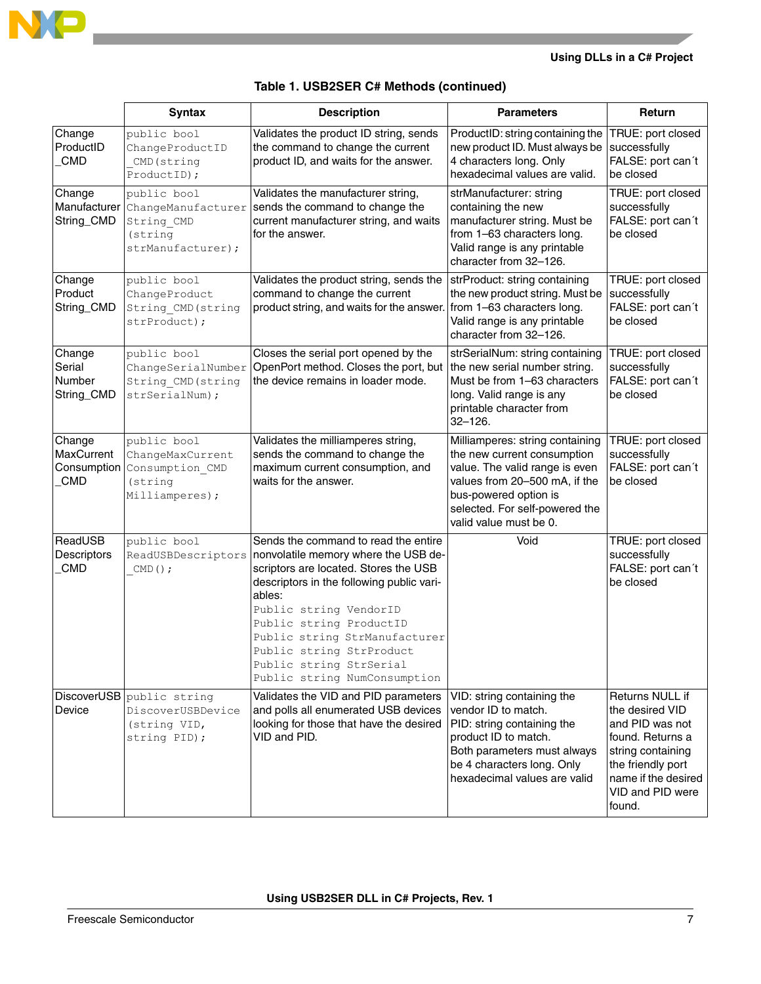

 $\overline{\phantom{a}}$ 

#### **Using DLLs in a C# Project**

|                                                   | <b>Syntax</b>                                                                   | <b>Description</b>                                                                                                                                                                                                                                                                                                                                        | <b>Parameters</b>                                                                                                                                                                                                      | Return                                                                                                                                                                   |
|---------------------------------------------------|---------------------------------------------------------------------------------|-----------------------------------------------------------------------------------------------------------------------------------------------------------------------------------------------------------------------------------------------------------------------------------------------------------------------------------------------------------|------------------------------------------------------------------------------------------------------------------------------------------------------------------------------------------------------------------------|--------------------------------------------------------------------------------------------------------------------------------------------------------------------------|
|                                                   |                                                                                 |                                                                                                                                                                                                                                                                                                                                                           |                                                                                                                                                                                                                        |                                                                                                                                                                          |
| Change<br>ProductID<br><b>CMD</b>                 | public bool<br>ChangeProductID<br>CMD (string<br>ProductID);                    | Validates the product ID string, sends<br>the command to change the current<br>product ID, and waits for the answer.                                                                                                                                                                                                                                      | ProductID: string containing the<br>new product ID. Must always be<br>4 characters long. Only<br>hexadecimal values are valid.                                                                                         | TRUE: port closed<br>successfully<br>FALSE: port can't<br>be closed                                                                                                      |
| Change<br>Manufacturer<br>String_CMD              | public bool<br>ChangeManufacturer<br>String CMD<br>(string<br>strManufacturer); | Validates the manufacturer string,<br>sends the command to change the<br>current manufacturer string, and waits<br>for the answer.                                                                                                                                                                                                                        | strManufacturer: string<br>containing the new<br>manufacturer string. Must be<br>from 1-63 characters long.<br>Valid range is any printable<br>character from 32-126.                                                  | TRUE: port closed<br>successfully<br>FALSE: port can't<br>be closed                                                                                                      |
| Change<br>Product<br>String_CMD                   | public bool<br>ChangeProduct<br>String CMD (string<br>strProduct);              | Validates the product string, sends the<br>command to change the current<br>product string, and waits for the answer.                                                                                                                                                                                                                                     | strProduct: string containing<br>the new product string. Must be<br>from 1-63 characters long.<br>Valid range is any printable<br>character from 32-126.                                                               | TRUE: port closed<br>successfully<br>FALSE: port can't<br>be closed                                                                                                      |
| Change<br>Serial<br>Number<br>String_CMD          | public bool<br>ChangeSerialNumber<br>String CMD (string<br>strSerialNum);       | Closes the serial port opened by the<br>OpenPort method. Closes the port, but<br>the device remains in loader mode.                                                                                                                                                                                                                                       | strSerialNum: string containing<br>the new serial number string.<br>Must be from 1-63 characters<br>long. Valid range is any<br>printable character from<br>$32 - 126$ .                                               | TRUE: port closed<br>successfully<br>FALSE: port can't<br>be closed                                                                                                      |
| Change<br>MaxCurrent<br>Consumption<br><b>CMD</b> | public bool<br>ChangeMaxCurrent<br>Consumption CMD<br>(string<br>Milliamperes); | Validates the milliamperes string,<br>sends the command to change the<br>maximum current consumption, and<br>waits for the answer.                                                                                                                                                                                                                        | Milliamperes: string containing<br>the new current consumption<br>value. The valid range is even<br>values from 20-500 mA, if the<br>bus-powered option is<br>selected. For self-powered the<br>valid value must be 0. | TRUE: port closed<br>successfully<br>FALSE: port can't<br>be closed                                                                                                      |
| ReadUSB<br>Descriptors<br>CMD                     | public bool<br>ReadUSBDescriptors<br>$CMD()$ ;                                  | Sends the command to read the entire<br>nonvolatile memory where the USB de-<br>scriptors are located. Stores the USB<br>descriptors in the following public vari-<br>ables:<br>Public string VendorID<br>Public string ProductID<br>Public string StrManufacturer<br>Public string StrProduct<br>Public string StrSerial<br>Public string NumConsumption | Void                                                                                                                                                                                                                   | TRUE: port closed<br>successfully<br>FALSE: port can't<br>be closed                                                                                                      |
| Device                                            | DiscoverUSB public string<br>DiscoverUSBDevice<br>(string VID,<br>string PID);  | Validates the VID and PID parameters<br>and polls all enumerated USB devices<br>looking for those that have the desired<br>VID and PID.                                                                                                                                                                                                                   | VID: string containing the<br>vendor ID to match.<br>PID: string containing the<br>product ID to match.<br>Both parameters must always<br>be 4 characters long. Only<br>hexadecimal values are valid                   | Returns NULL if<br>the desired VID<br>and PID was not<br>found. Returns a<br>string containing<br>the friendly port<br>name if the desired<br>VID and PID were<br>found. |

### **Table 1. USB2SER C# Methods (continued)**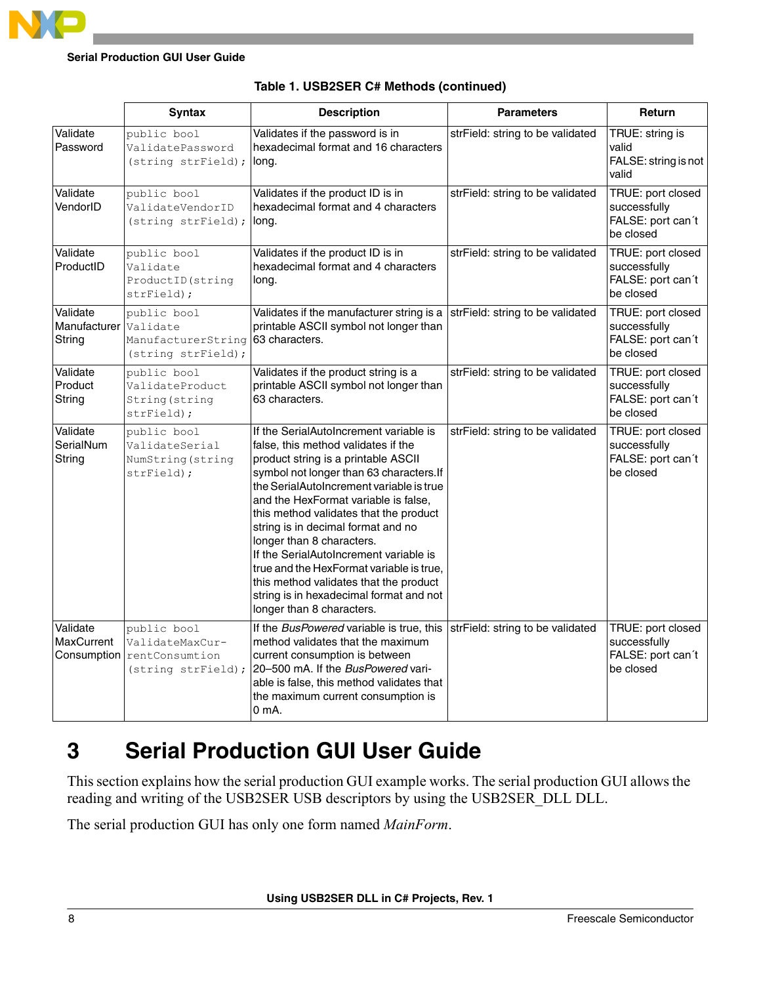

|                                              | <b>Syntax</b>                                                          | <b>Description</b>                                                                                                                                                                                                                                                                                                                                                                                                                                                                                                                                                        | <b>Parameters</b>                | Return                                                              |
|----------------------------------------------|------------------------------------------------------------------------|---------------------------------------------------------------------------------------------------------------------------------------------------------------------------------------------------------------------------------------------------------------------------------------------------------------------------------------------------------------------------------------------------------------------------------------------------------------------------------------------------------------------------------------------------------------------------|----------------------------------|---------------------------------------------------------------------|
| Validate<br>Password                         | public bool<br>ValidatePassword<br>(string strField);                  | Validates if the password is in<br>hexadecimal format and 16 characters<br>long.                                                                                                                                                                                                                                                                                                                                                                                                                                                                                          | strField: string to be validated | TRUE: string is<br>valid<br>FALSE: string is not<br>valid           |
| Validate<br>VendorID                         | public bool<br>ValidateVendorID<br>(string strField);                  | Validates if the product ID is in<br>hexadecimal format and 4 characters<br>long.                                                                                                                                                                                                                                                                                                                                                                                                                                                                                         | strField: string to be validated | TRUE: port closed<br>successfully<br>FALSE: port can't<br>be closed |
| Validate<br>ProductID                        | public bool<br>Validate<br>ProductID (string<br>strField);             | Validates if the product ID is in<br>hexadecimal format and 4 characters<br>long.                                                                                                                                                                                                                                                                                                                                                                                                                                                                                         | strField: string to be validated | TRUE: port closed<br>successfully<br>FALSE: port can't<br>be closed |
| Validate<br>Manufacturer<br>String           | public bool<br>Validate<br>ManufacturerString<br>(string strField);    | Validates if the manufacturer string is a<br>printable ASCII symbol not longer than<br>63 characters.                                                                                                                                                                                                                                                                                                                                                                                                                                                                     | strField: string to be validated | TRUE: port closed<br>successfully<br>FALSE: port can't<br>be closed |
| Validate<br>Product<br>String                | public bool<br>ValidateProduct<br>String (string<br>strField);         | Validates if the product string is a<br>printable ASCII symbol not longer than<br>63 characters.                                                                                                                                                                                                                                                                                                                                                                                                                                                                          | strField: string to be validated | TRUE: port closed<br>successfully<br>FALSE: port can't<br>be closed |
| Validate<br>SerialNum<br>String              | public bool<br>ValidateSerial<br>NumString (string<br>strField);       | If the SerialAutoIncrement variable is<br>false, this method validates if the<br>product string is a printable ASCII<br>symbol not longer than 63 characters. If<br>the SerialAutoIncrement variable is true<br>and the HexFormat variable is false,<br>this method validates that the product<br>string is in decimal format and no<br>longer than 8 characters.<br>If the SerialAutoIncrement variable is<br>true and the HexFormat variable is true,<br>this method validates that the product<br>string is in hexadecimal format and not<br>longer than 8 characters. | strField: string to be validated | TRUE: port closed<br>successfully<br>FALSE: port can't<br>be closed |
| Validate<br><b>MaxCurrent</b><br>Consumption | public bool<br>ValidateMaxCur-<br>rentConsumtion<br>(string strField); | If the BusPowered variable is true, this<br>method validates that the maximum<br>current consumption is between<br>20-500 mA. If the BusPowered vari-<br>able is false, this method validates that<br>the maximum current consumption is<br>0 mA.                                                                                                                                                                                                                                                                                                                         | strField: string to be validated | TRUE: port closed<br>successfully<br>FALSE: port can't<br>be closed |

### **Table 1. USB2SER C# Methods (continued)**

## <span id="page-7-0"></span>**3 Serial Production GUI User Guide**

This section explains how the serial production GUI example works. The serial production GUI allows the reading and writing of the USB2SER USB descriptors by using the USB2SER\_DLL DLL.

The serial production GUI has only one form named *MainForm*.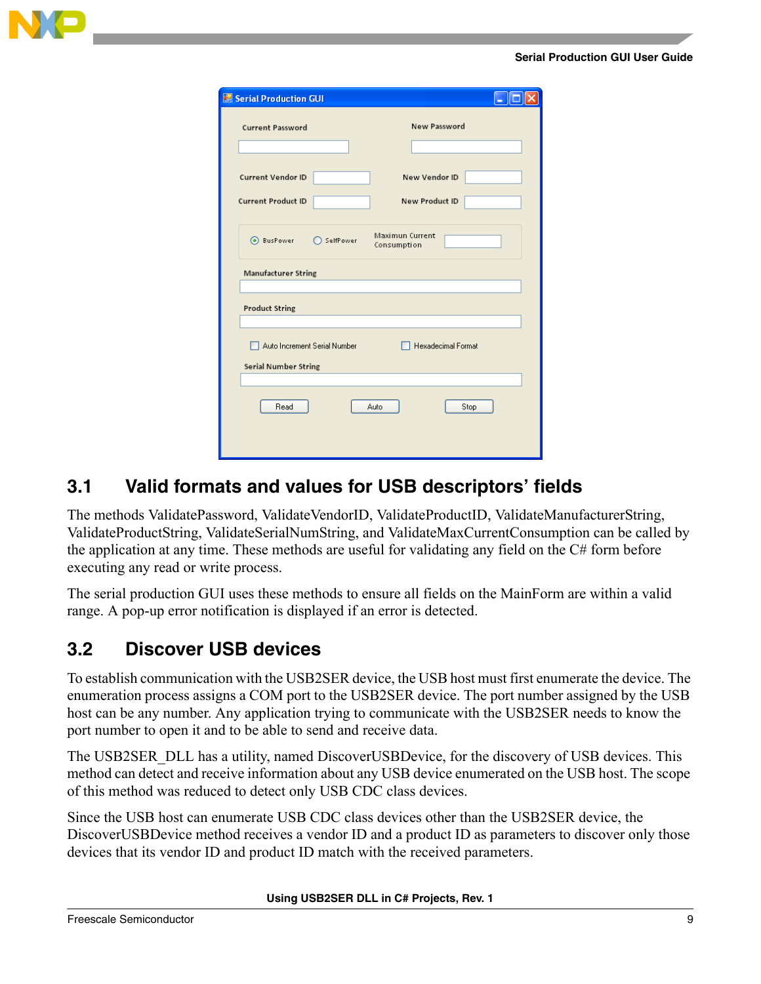| Serial Production GUI        |                                       |
|------------------------------|---------------------------------------|
| <b>Current Password</b>      | New Password                          |
|                              |                                       |
| <b>Current Vendor ID</b>     | New Vendor ID                         |
| <b>Current Product ID</b>    | New Product ID                        |
| SusPower<br>○ SelfPower      | <b>Maximun Current</b><br>Consumption |
| <b>Manufacturer String</b>   |                                       |
| <b>Product String</b>        |                                       |
| Auto Increment Serial Number | □ Hexadecimal Format                  |
| <b>Serial Number String</b>  |                                       |
| Read                         | Stop<br>Auto.                         |
|                              |                                       |

### <span id="page-8-0"></span>**3.1 Valid formats and values for USB descriptors' fields**

The methods ValidatePassword, ValidateVendorID, ValidateProductID, ValidateManufacturerString, ValidateProductString, ValidateSerialNumString, and ValidateMaxCurrentConsumption can be called by the application at any time. These methods are useful for validating any field on the C# form before executing any read or write process.

The serial production GUI uses these methods to ensure all fields on the MainForm are within a valid range. A pop-up error notification is displayed if an error is detected.

### <span id="page-8-1"></span>**3.2 Discover USB devices**

To establish communication with the USB2SER device, the USB host must first enumerate the device. The enumeration process assigns a COM port to the USB2SER device. The port number assigned by the USB host can be any number. Any application trying to communicate with the USB2SER needs to know the port number to open it and to be able to send and receive data.

The USB2SER\_DLL has a utility, named DiscoverUSBDevice, for the discovery of USB devices. This method can detect and receive information about any USB device enumerated on the USB host. The scope of this method was reduced to detect only USB CDC class devices.

Since the USB host can enumerate USB CDC class devices other than the USB2SER device, the DiscoverUSBDevice method receives a vendor ID and a product ID as parameters to discover only those devices that its vendor ID and product ID match with the received parameters.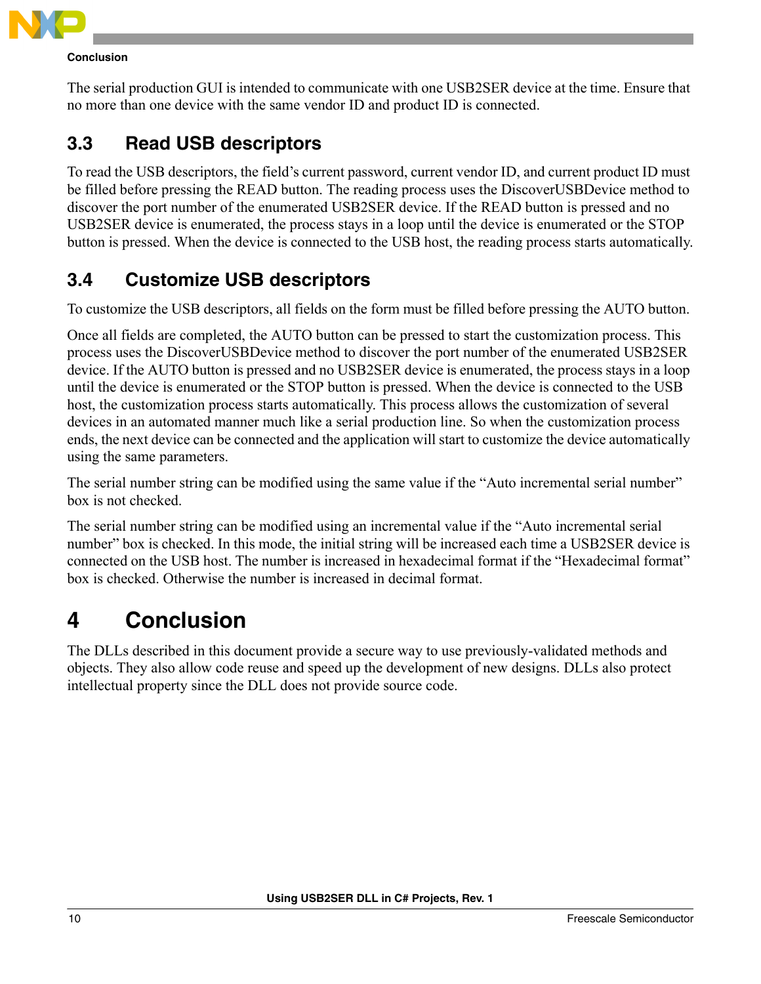

#### **Conclusion**

The serial production GUI is intended to communicate with one USB2SER device at the time. Ensure that no more than one device with the same vendor ID and product ID is connected.

### <span id="page-9-0"></span>**3.3 Read USB descriptors**

To read the USB descriptors, the field's current password, current vendor ID, and current product ID must be filled before pressing the READ button. The reading process uses the DiscoverUSBDevice method to discover the port number of the enumerated USB2SER device. If the READ button is pressed and no USB2SER device is enumerated, the process stays in a loop until the device is enumerated or the STOP button is pressed. When the device is connected to the USB host, the reading process starts automatically.

### <span id="page-9-1"></span>**3.4 Customize USB descriptors**

To customize the USB descriptors, all fields on the form must be filled before pressing the AUTO button.

Once all fields are completed, the AUTO button can be pressed to start the customization process. This process uses the DiscoverUSBDevice method to discover the port number of the enumerated USB2SER device. If the AUTO button is pressed and no USB2SER device is enumerated, the process stays in a loop until the device is enumerated or the STOP button is pressed. When the device is connected to the USB host, the customization process starts automatically. This process allows the customization of several devices in an automated manner much like a serial production line. So when the customization process ends, the next device can be connected and the application will start to customize the device automatically using the same parameters.

The serial number string can be modified using the same value if the "Auto incremental serial number" box is not checked.

The serial number string can be modified using an incremental value if the "Auto incremental serial number" box is checked. In this mode, the initial string will be increased each time a USB2SER device is connected on the USB host. The number is increased in hexadecimal format if the "Hexadecimal format" box is checked. Otherwise the number is increased in decimal format.

## <span id="page-9-2"></span>**4 Conclusion**

The DLLs described in this document provide a secure way to use previously-validated methods and objects. They also allow code reuse and speed up the development of new designs. DLLs also protect intellectual property since the DLL does not provide source code.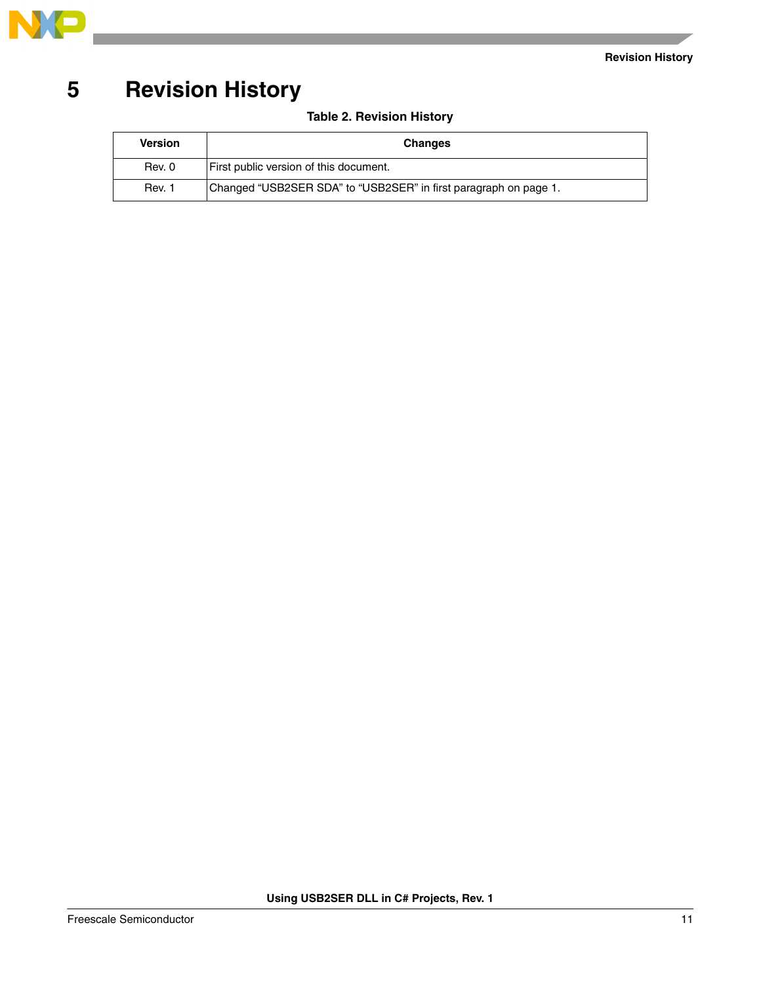

## **5 Revision History**

### **Table 2. Revision History**

| <b>Version</b> | <b>Changes</b>                                                   |
|----------------|------------------------------------------------------------------|
| Rev. 0         | First public version of this document.                           |
| Rev. 1         | Changed "USB2SER SDA" to "USB2SER" in first paragraph on page 1. |